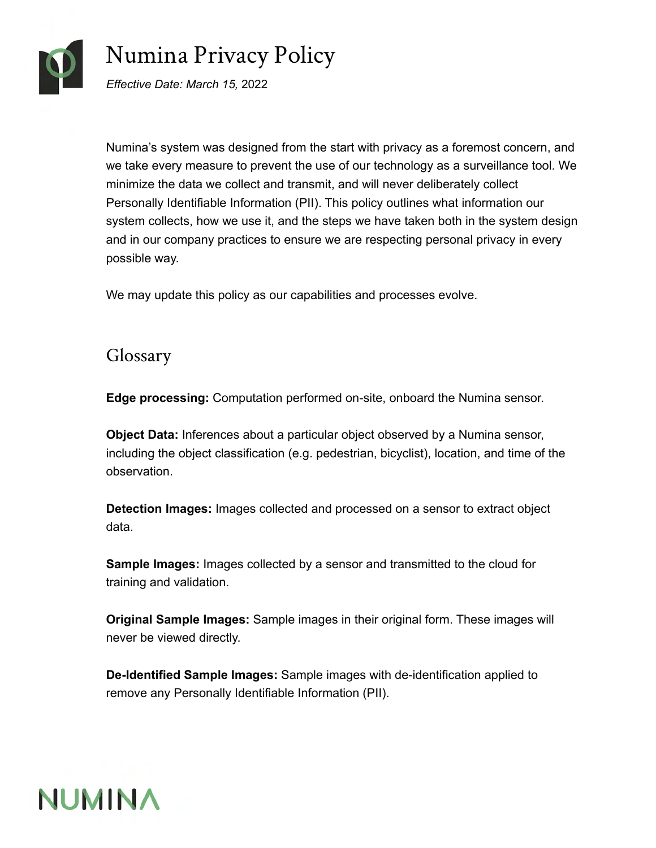

# Numina Privacy Policy

*Effective Date: March 15,* 2022

Numina's system was designed from the start with privacy as a foremost concern, and we take every measure to prevent the use of our technology as a surveillance tool. We minimize the data we collect and transmit, and will never deliberately collect Personally Identifiable Information (PII). This policy outlines what information our system collects, how we use it, and the steps we have taken both in the system design and in our company practices to ensure we are respecting personal privacy in every possible way.

We may update this policy as our capabilities and processes evolve.

## Glossary

<span id="page-0-1"></span>**Edge processing:** Computation performed on-site, onboard the Numina sensor.

<span id="page-0-2"></span>**Object Data:** Inferences about a particular object observed by a Numina sensor, including the object classification (e.g. pedestrian, bicyclist), location, and time of the observation.

<span id="page-0-0"></span>**Detection Images:** Images collected and processed on a sensor to extract object data.

<span id="page-0-3"></span>**Sample Images:** Images collected by a sensor and transmitted to the cloud for training and validation.

<span id="page-0-4"></span>**Original Sample Images:** Sample images in their original form. These images will never be viewed directly.

<span id="page-0-5"></span>**De-Identified Sample Images:** Sample images with de-identification applied to remove any Personally Identifiable Information (PII).

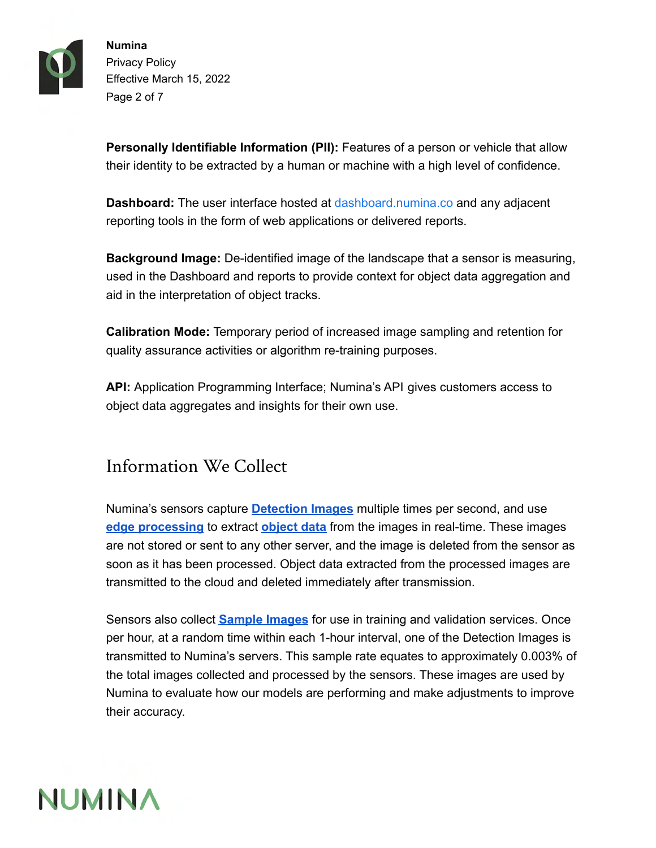

**Numina** Privacy Policy Effective March 15, 2022 Page 2 of 7

<span id="page-1-0"></span>**Personally Identifiable Information (PII):** Features of a person or vehicle that allow their identity to be extracted by a human or machine with a high level of confidence.

<span id="page-1-2"></span>**Dashboard:** The user interface hosted at [dashboard.numina.co](http://dashboard.numina.co) and any adjacent reporting tools in the form of web applications or delivered reports.

<span id="page-1-1"></span>**Background Image:** De-identified image of the landscape that a sensor is measuring, used in the Dashboard and reports to provide context for object data aggregation and aid in the interpretation of object tracks.

<span id="page-1-3"></span>**Calibration Mode:** Temporary period of increased image sampling and retention for quality assurance activities or algorithm re-training purposes.

<span id="page-1-4"></span>**API:** Application Programming Interface; Numina's API gives customers access to object data aggregates and insights for their own use.

## Information We Collect

Numina's sensors capture **[Detection Images](#page-0-0)** multiple times per second, and use **[edge processing](#page-0-1)** to extract **[object data](#page-0-2)** from the images in real-time. These images are not stored or sent to any other server, and the image is deleted from the sensor as soon as it has been processed. Object data extracted from the processed images are transmitted to the cloud and deleted immediately after transmission.

Sensors also collect **[Sample Images](#page-0-3)** for use in training and validation services. Once per hour, at a random time within each 1-hour interval, one of the Detection Images is transmitted to Numina's servers. This sample rate equates to approximately 0.003% of the total images collected and processed by the sensors. These images are used by Numina to evaluate how our models are performing and make adjustments to improve their accuracy.

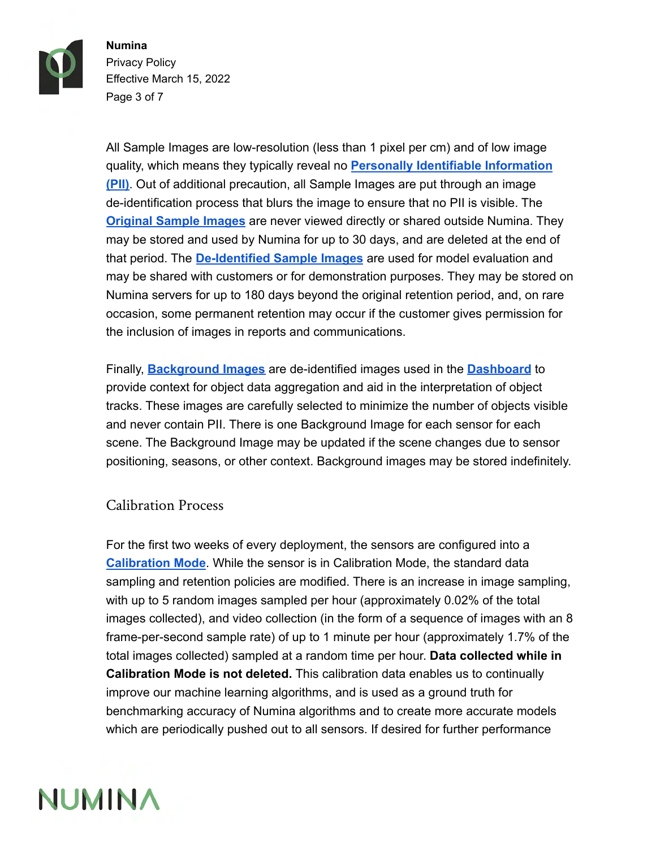

**Numina** Privacy Policy Effective March 15, 2022 Page 3 of 7

All Sample Images are low-resolution (less than 1 pixel per cm) and of low image quality, which means they typically reveal no **[Personally Identifiable Information](#page-1-0) [\(PII\)](#page-1-0)**. Out of additional precaution, all Sample Images are put through an image de-identification process that blurs the image to ensure that no PII is visible. The **[Original Sample Images](#page-0-4)** are never viewed directly or shared outside Numina. They may be stored and used by Numina for up to 30 days, and are deleted at the end of that period. The **[De-Identified Sample Images](#page-0-5)** are used for model evaluation and may be shared with customers or for demonstration purposes. They may be stored on Numina servers for up to 180 days beyond the original retention period, and, on rare occasion, some permanent retention may occur if the customer gives permission for the inclusion of images in reports and communications.

Finally, **[Background Images](#page-1-1)** are de-identified images used in the **[Dashboard](#page-1-2)** to provide context for object data aggregation and aid in the interpretation of object tracks. These images are carefully selected to minimize the number of objects visible and never contain PII. There is one Background Image for each sensor for each scene. The Background Image may be updated if the scene changes due to sensor positioning, seasons, or other context. Background images may be stored indefinitely.

#### Calibration Process

For the first two weeks of every deployment, the sensors are configured into a **[Calibration Mode](#page-1-3)**. While the sensor is in Calibration Mode, the standard data sampling and retention policies are modified. There is an increase in image sampling, with up to 5 random images sampled per hour (approximately 0.02% of the total images collected), and video collection (in the form of a sequence of images with an 8 frame-per-second sample rate) of up to 1 minute per hour (approximately 1.7% of the total images collected) sampled at a random time per hour. **Data collected while in Calibration Mode is not deleted.** This calibration data enables us to continually improve our machine learning algorithms, and is used as a ground truth for benchmarking accuracy of Numina algorithms and to create more accurate models which are periodically pushed out to all sensors. If desired for further performance

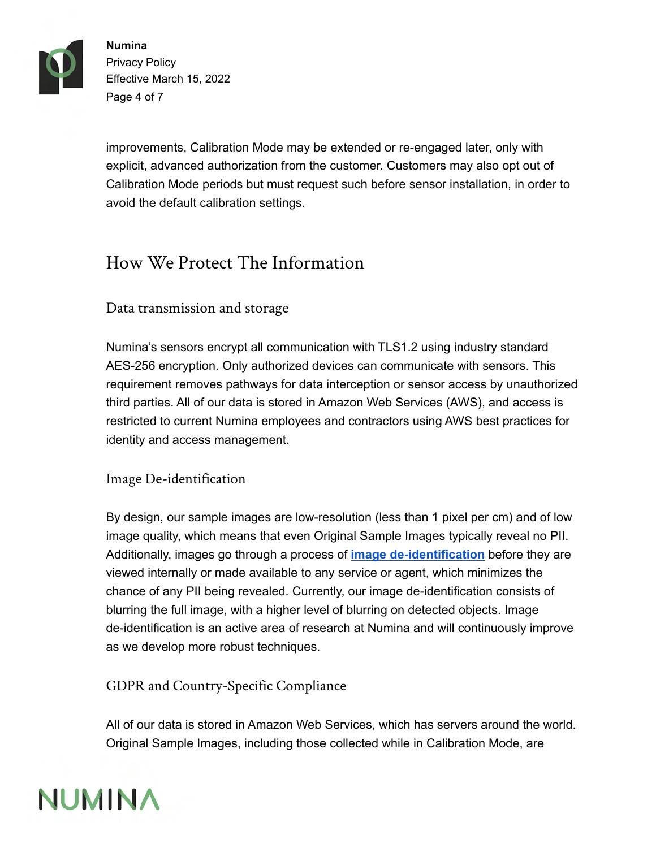

**Numina** Privacy Policy Effective March 15, 2022 Page 4 of 7

improvements, Calibration Mode may be extended or re-engaged later, only with explicit, advanced authorization from the customer. Customers may also opt out of Calibration Mode periods but must request such before sensor installation, in order to avoid the default calibration settings.

# How We Protect The Information

### Data transmission and storage

Numina's sensors encrypt all communication with TLS1.2 using industry standard AES-256 encryption. Only authorized devices can communicate with sensors. This requirement removes pathways for data interception or sensor access by unauthorized third parties. All of our data is stored in Amazon Web Services (AWS), and access is restricted to current Numina employees and contractors using AWS best practices for identity and access management.

#### Image De-identification

By design, our sample images are low-resolution (less than 1 pixel per cm) and of low image quality, which means that even Original Sample Images typically reveal no PII. Additionally, images go through a process of **image de-identification** before they are viewed internally or made available to any service or agent, which minimizes the chance of any PII being revealed. Currently, our image de-identification consists of blurring the full image, with a higher level of blurring on detected objects. Image de-identification is an active area of research at Numina and will continuously improve as we develop more robust techniques.

GDPR and Country-Specific Compliance

All of our data is stored in Amazon Web Services, which has servers around the world. Original Sample Images, including those collected while in Calibration Mode, are

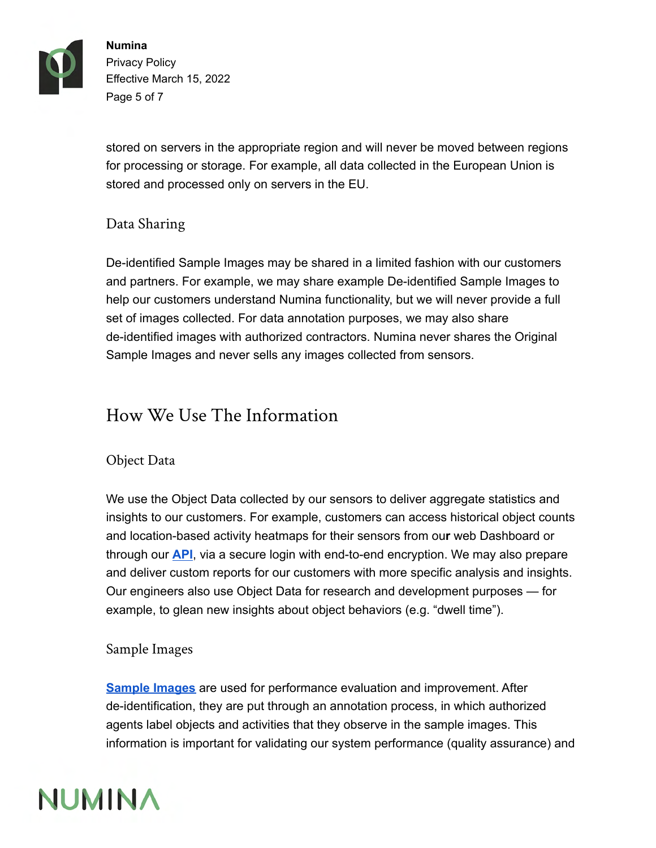

**Numina** Privacy Policy Effective March 15, 2022 Page 5 of 7

stored on servers in the appropriate region and will never be moved between regions for processing or storage. For example, all data collected in the European Union is stored and processed only on servers in the EU.

### Data Sharing

De-identified Sample Images may be shared in a limited fashion with our customers and partners. For example, we may share example De-identified Sample Images to help our customers understand Numina functionality, but we will never provide a full set of images collected. For data annotation purposes, we may also share de-identified images with authorized contractors. Numina never shares the Original Sample Images and never sells any images collected from sensors.

## How We Use The Information

#### Object Data

We use the Object Data collected by our sensors to deliver aggregate statistics and insights to our customers. For example, customers can access historical object counts and location-based activity heatmaps for their sensors from ou**r** web Dashboard or through our **[API](#page-1-4)**, via a secure login with end-to-end encryption. We may also prepare and deliver custom reports for our customers with more specific analysis and insights. Our engineers also use Object Data for research and development purposes — for example, to glean new insights about object behaviors (e.g. "dwell time").

### Sample Images

**[Sample Images](#page-0-3)** are used for performance evaluation and improvement. After de-identification, they are put through an annotation process, in which authorized agents label objects and activities that they observe in the sample images. This information is important for validating our system performance (quality assurance) and

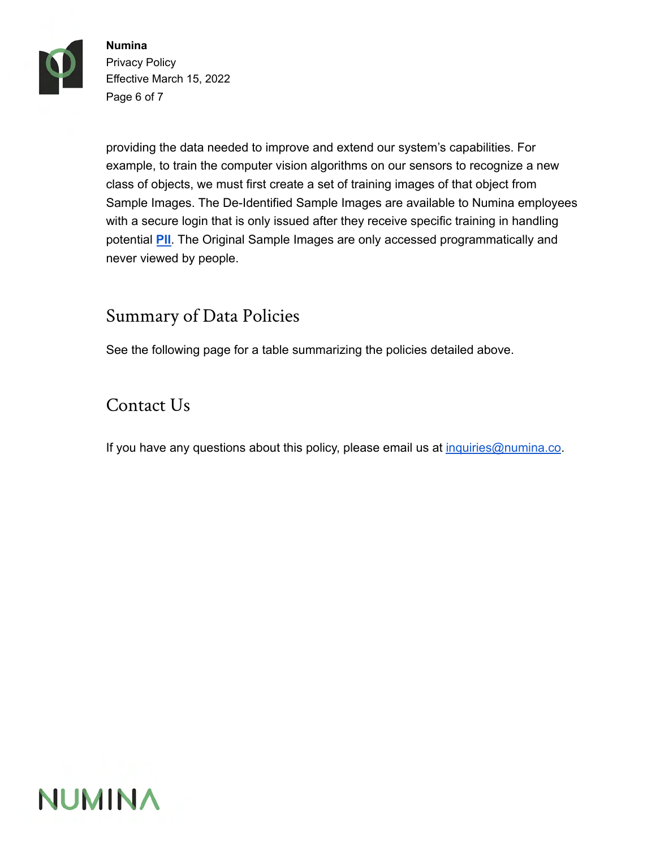

**Numina** Privacy Policy Effective March 15, 2022 Page 6 of 7

providing the data needed to improve and extend our system's capabilities. For example, to train the computer vision algorithms on our sensors to recognize a new class of objects, we must first create a set of training images of that object from Sample Images. The De-Identified Sample Images are available to Numina employees with a secure login that is only issued after they receive specific training in handling potential **PII**. The Original Sample Images are only accessed programmatically and never viewed by people.

## Summary of Data Policies

See the following page for a table summarizing the policies detailed above.

## Contact Us

If you have any questions about this policy, please email us at [inquiries@numina.co.](mailto:inquiries@numina.co)